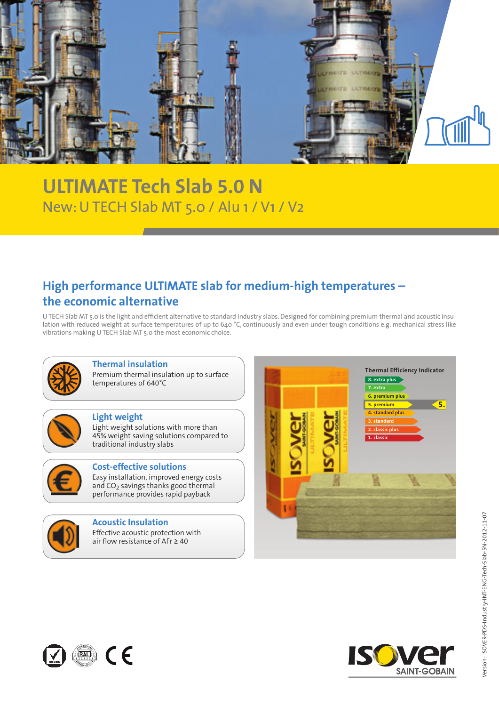

# New: U TECH Slab MT 5.0 / Alu 1 / V1 / V2 **ULTIMATE Tech Slab 5.0 N**

### **High performance ULTIMATE slab for medium-high temperatures – the economic alternative**

U TECH Slab MT 5.0 is the light and efficient alternative to standard industry slabs. Designed for combining premium thermal and acoustic insulation with reduced weight at surface temperatures of up to 640 °C, continuously and even under tough conditions e.g. mechanical stress like vibrations making U TECH Slab MT 5.0 the most economic choice.



#### **Thermal insulation**

Premium thermal insulation up to surface temperatures of 640°C

#### **Light weight**

Light weight solutions with more than 45% weight saving solutions compared to traditional industry slabs



### **Cost-effective solutions**

Easy installation, improved energy costs and  $CO<sub>2</sub>$  savings thanks good thermal performance provides rapid payback



#### **Acoustic Insulation**

Effective acoustic protection with air flow resistance of AFr ≥ 40